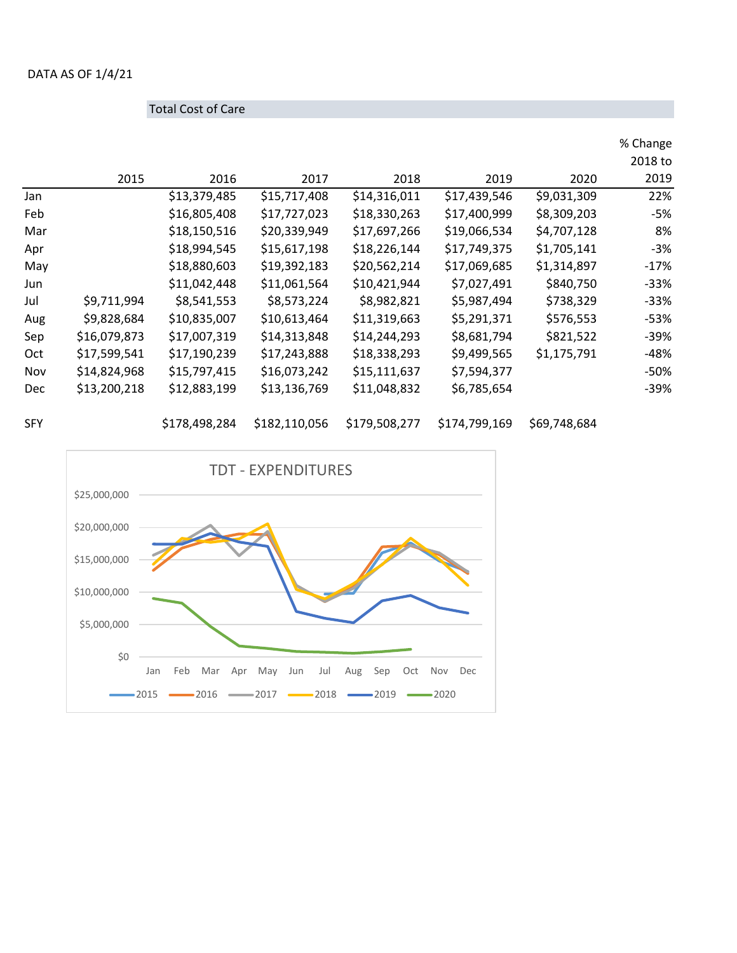## DATA AS OF 1/4/21

|     | <b>Total Cost of Care</b> |              |              |              |              |             |                     |
|-----|---------------------------|--------------|--------------|--------------|--------------|-------------|---------------------|
|     |                           |              |              |              |              |             | % Change<br>2018 to |
|     | 2015                      | 2016         | 2017         | 2018         | 2019         | 2020        | 2019                |
| Jan |                           | \$13,379,485 | \$15,717,408 | \$14,316,011 | \$17,439,546 | \$9,031,309 | 22%                 |
| Feb |                           | \$16,805,408 | \$17,727,023 | \$18,330,263 | \$17,400,999 | \$8,309,203 | -5%                 |
| Mar |                           | \$18,150,516 | \$20,339,949 | \$17,697,266 | \$19,066,534 | \$4,707,128 | 8%                  |
| Apr |                           | \$18,994,545 | \$15,617,198 | \$18,226,144 | \$17,749,375 | \$1,705,141 | $-3%$               |
| May |                           | \$18,880,603 | \$19,392,183 | \$20,562,214 | \$17,069,685 | \$1,314,897 | $-17%$              |
| Jun |                           | \$11,042,448 | \$11,061,564 | \$10,421,944 | \$7,027,491  | \$840,750   | -33%                |
| Jul | \$9,711,994               | \$8,541,553  | \$8,573,224  | \$8,982,821  | \$5,987,494  | \$738,329   | $-33%$              |
| Aug | \$9,828,684               | \$10,835,007 | \$10,613,464 | \$11,319,663 | \$5,291,371  | \$576,553   | -53%                |
| Sep | \$16,079,873              | \$17,007,319 | \$14,313,848 | \$14,244,293 | \$8,681,794  | \$821,522   | $-39%$              |
| Oct | \$17,599,541              | \$17,190,239 | \$17,243,888 | \$18,338,293 | \$9,499,565  | \$1,175,791 | -48%                |
| Nov | \$14,824,968              | \$15,797,415 | \$16,073,242 | \$15,111,637 | \$7,594,377  |             | -50%                |
| Dec | \$13,200,218              | \$12,883,199 | \$13,136,769 | \$11,048,832 | \$6,785,654  |             | $-39%$              |

SFY \$178,498,284 \$182,110,056 \$179,508,277 \$174,799,169 \$69,748,684

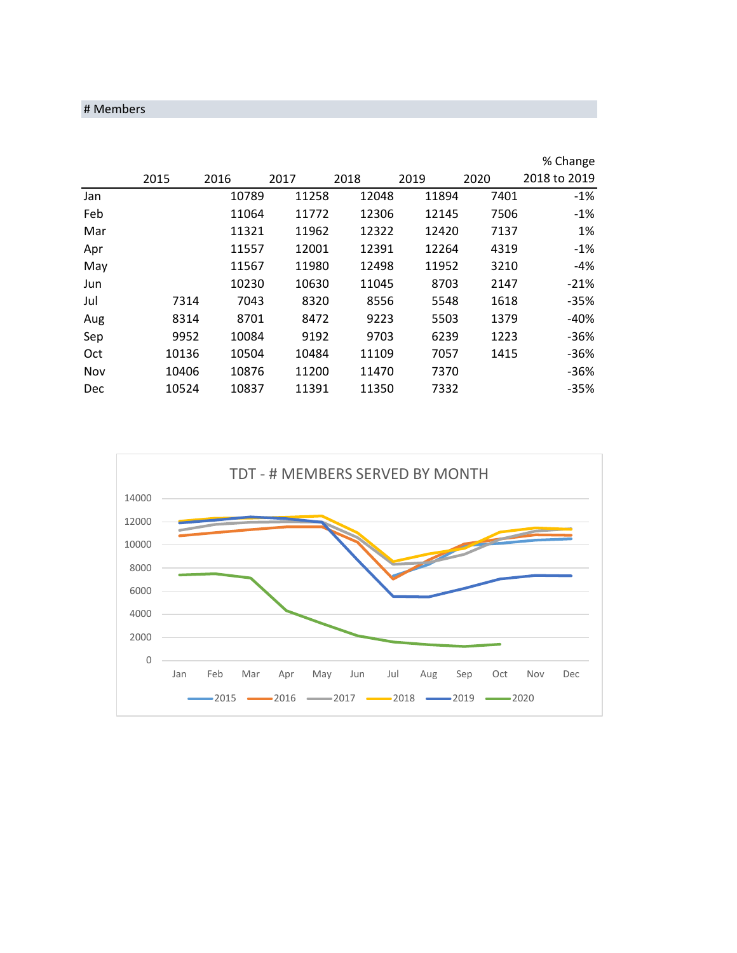## # Members

|     |       |       |       |       |       |      | % Change     |
|-----|-------|-------|-------|-------|-------|------|--------------|
|     | 2015  | 2016  | 2017  | 2018  | 2019  | 2020 | 2018 to 2019 |
| Jan |       | 10789 | 11258 | 12048 | 11894 | 7401 | $-1%$        |
| Feb |       | 11064 | 11772 | 12306 | 12145 | 7506 | $-1%$        |
| Mar |       | 11321 | 11962 | 12322 | 12420 | 7137 | 1%           |
| Apr |       | 11557 | 12001 | 12391 | 12264 | 4319 | $-1%$        |
| May |       | 11567 | 11980 | 12498 | 11952 | 3210 | $-4%$        |
| Jun |       | 10230 | 10630 | 11045 | 8703  | 2147 | $-21%$       |
| Jul | 7314  | 7043  | 8320  | 8556  | 5548  | 1618 | $-35%$       |
| Aug | 8314  | 8701  | 8472  | 9223  | 5503  | 1379 | $-40%$       |
| Sep | 9952  | 10084 | 9192  | 9703  | 6239  | 1223 | $-36%$       |
| Oct | 10136 | 10504 | 10484 | 11109 | 7057  | 1415 | $-36%$       |
| Nov | 10406 | 10876 | 11200 | 11470 | 7370  |      | $-36%$       |
| Dec | 10524 | 10837 | 11391 | 11350 | 7332  |      | $-35%$       |